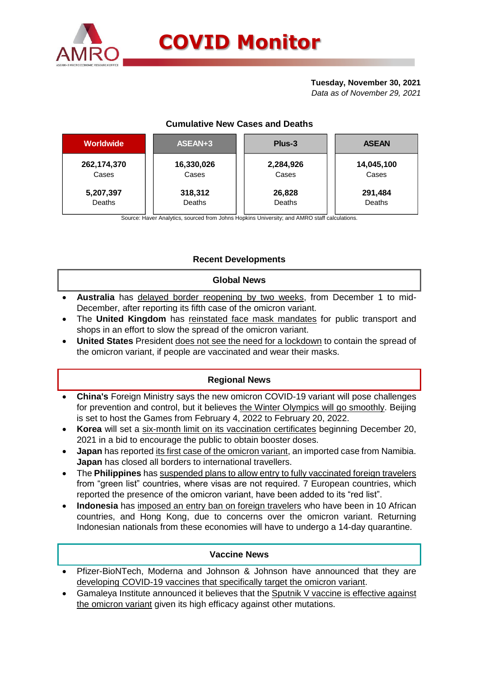

## **Tuesday, November 30, 2021**

*Data as of November 29, 2021*

## **Cumulative New Cases and Deaths**

| <b>Worldwide</b> | ASEAN+3    | Plus-3    | <b>ASEAN</b> |  |  |
|------------------|------------|-----------|--------------|--|--|
| 262, 174, 370    | 16,330,026 | 2,284,926 | 14,045,100   |  |  |
| Cases            | Cases      | Cases     | Cases        |  |  |
| 5,207,397        | 318,312    | 26,828    | 291,484      |  |  |
| Deaths           | Deaths     | Deaths    | Deaths       |  |  |

Source: Haver Analytics, sourced from Johns Hopkins University; and AMRO staff calculations.

# **Recent Developments**

## **Global News**

- **Australia** has delayed border reopening by two weeks, from December 1 to mid-December, after reporting its fifth case of the omicron variant.
- The **United Kingdom** has reinstated face mask mandates for public transport and shops in an effort to slow the spread of the omicron variant.
- **United States** President does not see the need for a lockdown to contain the spread of the omicron variant, if people are vaccinated and wear their masks.

# **Regional News**

- **China's** Foreign Ministry says the new omicron COVID-19 variant will pose challenges for prevention and control, but it believes the Winter Olympics will go smoothly. Beijing is set to host the Games from February 4, 2022 to February 20, 2022.
- **Korea** will set a six-month limit on its vaccination certificates beginning December 20, 2021 in a bid to encourage the public to obtain booster doses.
- **Japan** has reported its first case of the omicron variant, an imported case from Namibia. **Japan** has closed all borders to international travellers.
- The **Philippines** has suspended plans to allow entry to fully vaccinated foreign travelers from "green list" countries, where visas are not required. 7 European countries, which reported the presence of the omicron variant, have been added to its "red list".
- **Indonesia** has imposed an entry ban on foreign travelers who have been in 10 African countries, and Hong Kong, due to concerns over the omicron variant. Returning Indonesian nationals from these economies will have to undergo a 14-day quarantine.

## **Vaccine News**

- Pfizer-BioNTech, Moderna and Johnson & Johnson have announced that they are developing COVID-19 vaccines that specifically target the omicron variant.
- Gamaleya Institute announced it believes that the Sputnik V vaccine is effective against the omicron variant given its high efficacy against other mutations.